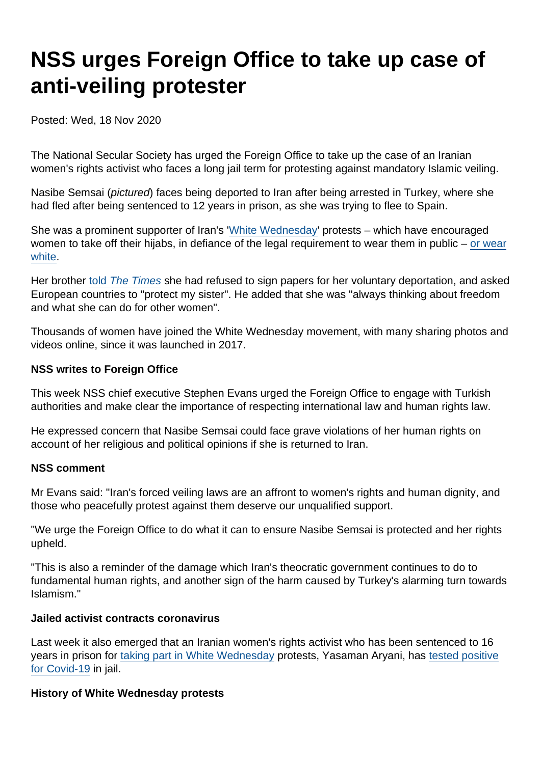## NSS urges Foreign Office to take up case of anti-veiling protester

Posted: Wed, 18 Nov 2020

The National Secular Society has urged the Foreign Office to take up the case of an Iranian women's rights activist who faces a long jail term for protesting against mandatory Islamic veiling.

Nasibe Semsai (pictured) faces being deported to Iran after being arrested in Turkey, where she had fled after being sentenced to 12 years in prison, as she was trying to flee to Spain.

She was a prominent supporter of Iran's '[White Wednesday](https://www.bbc.co.uk/news/world-middle-east-40218711)' protests – which have encouraged women to take off their hijabs, in defiance of the legal requirement to wear them in public – [or wear](https://www.bustle.com/p/what-is-white-wednesday-iran-women-are-fighting-for-the-freedom-to-dress-how-they-want-7767786) [white](https://www.bustle.com/p/what-is-white-wednesday-iran-women-are-fighting-for-the-freedom-to-dress-how-they-want-7767786).

Her brother [told The Times](https://www.thetimes.co.uk/edition/world/headscarf-rebel-nasibe-semsai-faces-deportation-to-iran-8p08qrpjt) she had refused to sign papers for her voluntary deportation, and asked European countries to "protect my sister". He added that she was "always thinking about freedom and what she can do for other women".

Thousands of women have joined the White Wednesday movement, with many sharing photos and videos online, since it was launched in 2017.

NSS writes to Foreign Office

This week NSS chief executive Stephen Evans urged the Foreign Office to engage with Turkish authorities and make clear the importance of respecting international law and human rights law.

He expressed concern that Nasibe Semsai could face grave violations of her human rights on account of her religious and political opinions if she is returned to Iran.

NSS comment

Mr Evans said: "Iran's forced veiling laws are an affront to women's rights and human dignity, and those who peacefully protest against them deserve our unqualified support.

"We urge the Foreign Office to do what it can to ensure Nasibe Semsai is protected and her rights upheld.

"This is also a reminder of the damage which Iran's theocratic government continues to do to fundamental human rights, and another sign of the harm caused by Turkey's alarming turn towards Islamism."

Jailed activist contracts coronavirus

Last week it also emerged that an Iranian women's rights activist who has been sentenced to 16 years in prison for [taking part in White Wednesday](https://www.amnesty.org/en/latest/news/2019/04/iran-release-womens-rights-defenders-detained-for-peacefully-protesting-against-forced-veiling/) protests, Yasaman Aryani, has [tested positive](https://twitter.com/AlinejadMasih/status/1327220994885390337) [for Covid-19](https://twitter.com/AlinejadMasih/status/1327220994885390337) in jail.

History of White Wednesday protests